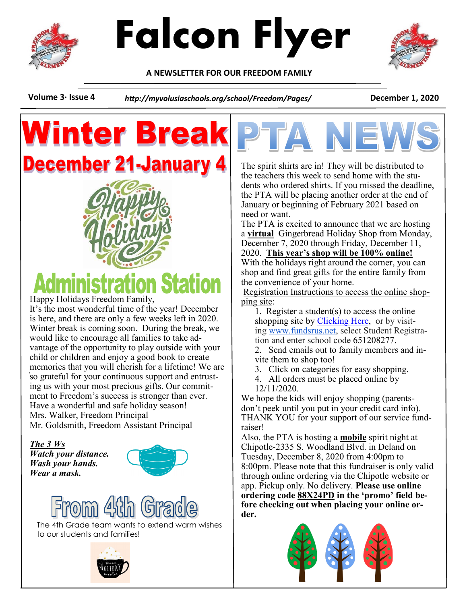



**A NEWSLETTER FOR OUR FREEDOM FAMILY**



## **Winter Brea December 21-January**



Happy Holidays Freedom Family,

memories that you will cherish for a lifetime! We are It's the most wonderful time of the year! December is here, and there are only a few weeks left in 2020. Winter break is coming soon. During the break, we would like to encourage all families to take advantage of the opportunity to play outside with your child or children and enjoy a good book to create so grateful for your continuous support and entrusting us with your most precious gifts. Our commitment to Freedom's success is stronger than ever. Have a wonderful and safe holiday season! Mrs. Walker, Freedom Principal Mr. Goldsmith, Freedom Assistant Principal

*The 3 Ws Watch your distance. Wash your hands. Wear a mask.* 





The 4th Grade team wants to extend warm wishes to our students and families!





The spirit shirts are in! They will be distributed to the teachers this week to send home with the students who ordered shirts. If you missed the deadline, the PTA will be placing another order at the end of January or beginning of February 2021 based on need or want.

The PTA is excited to announce that we are hosting a **virtual** Gingerbread Holiday Shop from Monday, December 7, 2020 through Friday, December 11, 2020. **This year's shop will be 100% online!**

With the holidays right around the corner, you can shop and find great gifts for the entire family from the convenience of your home.

Registration Instructions to access the online shopping site:

1. Register a student(s) to access the online shopping site by **Clicking Here**, or by visiting [www.fundsrus.net,](http://www.fundsrus.net/) select Student Registration and enter school code 651208277.

2. Send emails out to family members and invite them to shop too!

3. Click on categories for easy shopping.

4. All orders must be placed online by 12/11/2020.

We hope the kids will enjoy shopping (parentsdon't peek until you put in your credit card info). THANK YOU for your support of our service fundraiser!

Also, the PTA is hosting a **mobile** spirit night at Chipotle-2335 S. Woodland Blvd. in Deland on Tuesday, December 8, 2020 from 4:00pm to 8:00pm. Please note that this fundraiser is only valid through online ordering via the Chipotle website or app. Pickup only. No delivery. **Please use online ordering code 88X24PD in the 'promo' field before checking out when placing your online order.**